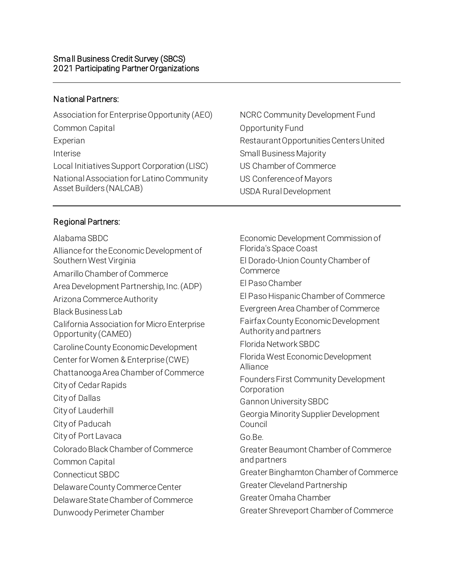## National Partners:

| NCRC Community Development Fund                          |
|----------------------------------------------------------|
| Opportunity Fund                                         |
| Restaurant Opportunities Centers United                  |
| <b>Small Business Majority</b>                           |
| US Chamber of Commerce                                   |
| US Conference of Mayors<br><b>USDA Rural Development</b> |
|                                                          |

## Regional Partners:

| Alabama SBDC                                                       |
|--------------------------------------------------------------------|
| Alliance for the Economic Development of<br>Southern West Virginia |
| Amarillo Chamber of Commerce                                       |
| Area Development Partnership, Inc. (ADP)                           |
| Arizona Commerce Authority                                         |
| <b>Black Business Lab</b>                                          |
| California Association for Micro Enterprise<br>Opportunity (CAMEO) |
| Caroline County Economic Development                               |
| Center for Women & Enterprise (CWE)                                |
| Chattanooga Area Chamber of Commerce                               |
| City of Cedar Rapids                                               |
| City of Dallas                                                     |
| City of Lauderhill                                                 |
| City of Paducah                                                    |
| City of Port Lavaca                                                |
| Colorado Black Chamber of Commerce                                 |
| Common Capital                                                     |
| <b>Connecticut SBDC</b>                                            |
| Delaware County Commerce Center                                    |
| Delaware State Chamber of Commerce                                 |
| Dunwoody Perimeter Chamber                                         |
|                                                                    |

Economic Development Commission of Florida's Space Coast El Dorado-Union County Chamber of Commerce El Paso Chamber El Paso Hispanic Chamber of Commerce Evergreen Area Chamber of Commerce Fairfax County Economic Development Authority and partners Florida Network SBDC Florida West Economic Development Alliance Founders First Community Development Corporation Gannon University SBDC Georgia Minority Supplier Development Council Go.Be. Greater Beaumont Chamber of Commerce and partners Greater Binghamton Chamber of Commerce Greater Cleveland Partnership Greater Omaha Chamber Greater Shreveport Chamber of Commerce